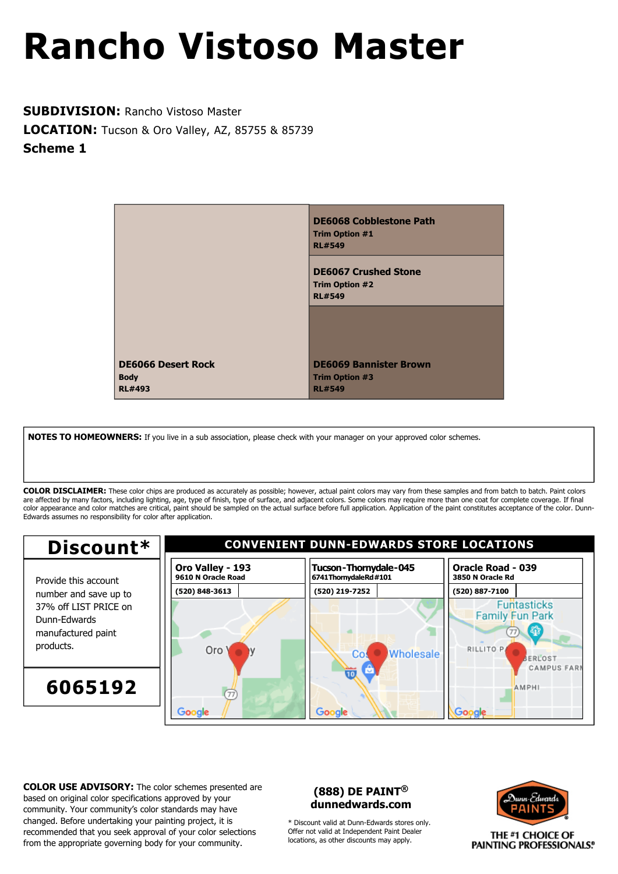**SUBDIVISION:** Rancho Vistoso Master **LOCATION:** Tucson & Oro Valley, AZ, 85755 & 85739 **Scheme 1**

|                                                           | <b>DE6068 Cobblestone Path</b><br><b>Trim Option #1</b><br><b>RL#549</b> |
|-----------------------------------------------------------|--------------------------------------------------------------------------|
|                                                           | <b>DE6067 Crushed Stone</b><br><b>Trim Option #2</b><br><b>RL#549</b>    |
|                                                           |                                                                          |
| <b>DE6066 Desert Rock</b><br><b>Body</b><br><b>RL#493</b> | <b>DE6069 Bannister Brown</b><br><b>Trim Option #3</b><br><b>RL#549</b>  |

**NOTES TO HOMEOWNERS:** If you live in a sub association, please check with your manager on your approved color schemes.

**COLOR DISCLAIMER:** These color chips are produced as accurately as possible; however, actual paint colors may vary from these samples and from batch to batch. Paint colors are affected by many factors, including lighting, age, type of finish, type of surface, and adjacent colors. Some colors may require more than one coat for complete coverage. If final color appearance and color matches are critical, paint should be sampled on the actual surface before full application. Application of the paint constitutes acceptance of the color. Dunn-Edwards assumes no responsibility for color after application.



**COLOR USE ADVISORY:** The color schemes presented are based on original color specifications approved by your community. Your community's color standards may have changed. Before undertaking your painting project, it is recommended that you seek approval of your color selections from the appropriate governing body for your community.

### **(888) DE PAINT® dunnedwards.com**

\* Discount valid at Dunn-Edwards stores only. Offer not valid at Independent Paint Dealer locations, as other discounts may apply.

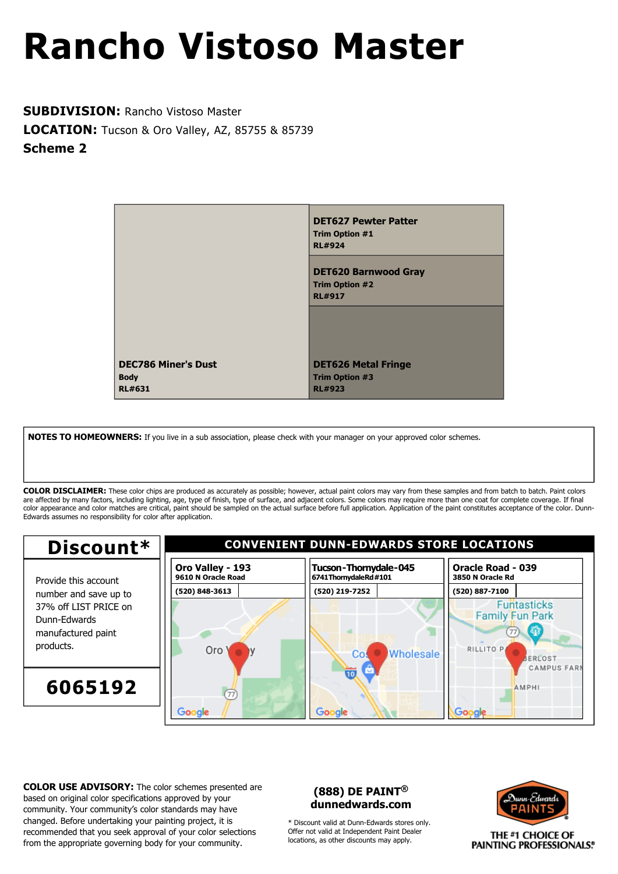**SUBDIVISION:** Rancho Vistoso Master **LOCATION:** Tucson & Oro Valley, AZ, 85755 & 85739 **Scheme 2**

|                                                            | <b>DET627 Pewter Patter</b><br><b>Trim Option #1</b><br><b>RL#924</b> |
|------------------------------------------------------------|-----------------------------------------------------------------------|
|                                                            | <b>DET620 Barnwood Gray</b><br><b>Trim Option #2</b><br><b>RL#917</b> |
|                                                            |                                                                       |
| <b>DEC786 Miner's Dust</b><br><b>Body</b><br><b>RL#631</b> | <b>DET626 Metal Fringe</b><br><b>Trim Option #3</b><br><b>RL#923</b>  |

**NOTES TO HOMEOWNERS:** If you live in a sub association, please check with your manager on your approved color schemes.

**COLOR DISCLAIMER:** These color chips are produced as accurately as possible; however, actual paint colors may vary from these samples and from batch to batch. Paint colors are affected by many factors, including lighting, age, type of finish, type of surface, and adjacent colors. Some colors may require more than one coat for complete coverage. If final color appearance and color matches are critical, paint should be sampled on the actual surface before full application. Application of the paint constitutes acceptance of the color. Dunn-Edwards assumes no responsibility for color after application.



**COLOR USE ADVISORY:** The color schemes presented are based on original color specifications approved by your community. Your community's color standards may have changed. Before undertaking your painting project, it is recommended that you seek approval of your color selections from the appropriate governing body for your community.

### **(888) DE PAINT® dunnedwards.com**

\* Discount valid at Dunn-Edwards stores only. Offer not valid at Independent Paint Dealer locations, as other discounts may apply.

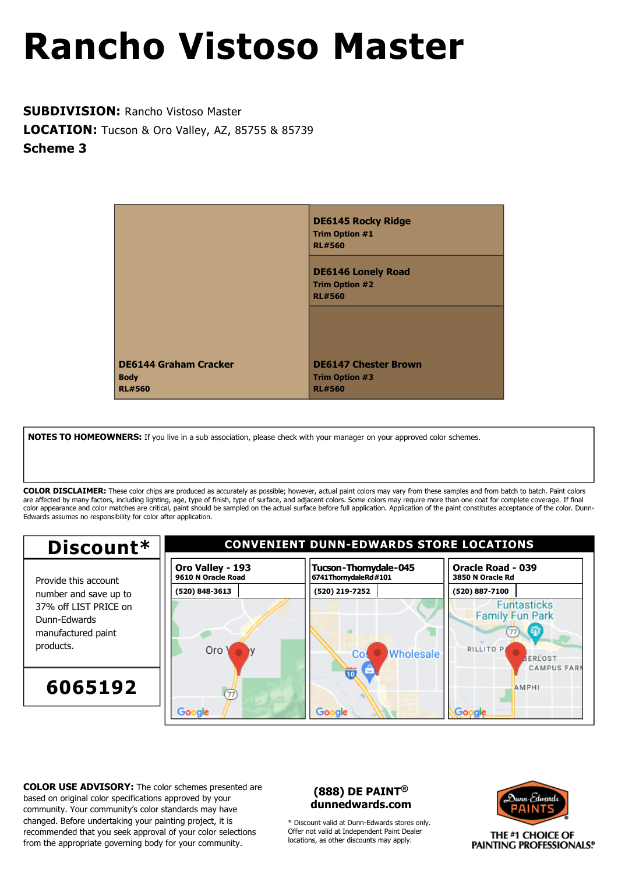**SUBDIVISION:** Rancho Vistoso Master **LOCATION:** Tucson & Oro Valley, AZ, 85755 & 85739 **Scheme 3**



**NOTES TO HOMEOWNERS:** If you live in a sub association, please check with your manager on your approved color schemes.

**COLOR DISCLAIMER:** These color chips are produced as accurately as possible; however, actual paint colors may vary from these samples and from batch to batch. Paint colors are affected by many factors, including lighting, age, type of finish, type of surface, and adjacent colors. Some colors may require more than one coat for complete coverage. If final color appearance and color matches are critical, paint should be sampled on the actual surface before full application. Application of the paint constitutes acceptance of the color. Dunn-Edwards assumes no responsibility for color after application.



**COLOR USE ADVISORY:** The color schemes presented are based on original color specifications approved by your community. Your community's color standards may have changed. Before undertaking your painting project, it is recommended that you seek approval of your color selections from the appropriate governing body for your community.

### **(888) DE PAINT® dunnedwards.com**

\* Discount valid at Dunn-Edwards stores only. Offer not valid at Independent Paint Dealer locations, as other discounts may apply.

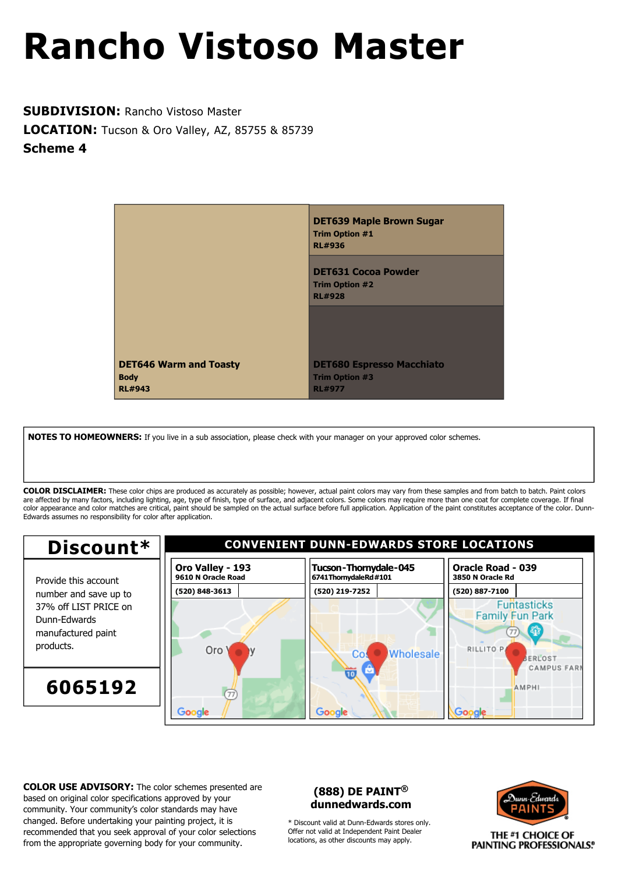**SUBDIVISION:** Rancho Vistoso Master **LOCATION:** Tucson & Oro Valley, AZ, 85755 & 85739 **Scheme 4**



**NOTES TO HOMEOWNERS:** If you live in a sub association, please check with your manager on your approved color schemes.

**COLOR DISCLAIMER:** These color chips are produced as accurately as possible; however, actual paint colors may vary from these samples and from batch to batch. Paint colors are affected by many factors, including lighting, age, type of finish, type of surface, and adjacent colors. Some colors may require more than one coat for complete coverage. If final color appearance and color matches are critical, paint should be sampled on the actual surface before full application. Application of the paint constitutes acceptance of the color. Dunn-Edwards assumes no responsibility for color after application.



**COLOR USE ADVISORY:** The color schemes presented are based on original color specifications approved by your community. Your community's color standards may have changed. Before undertaking your painting project, it is recommended that you seek approval of your color selections from the appropriate governing body for your community.

### **(888) DE PAINT® dunnedwards.com**

\* Discount valid at Dunn-Edwards stores only. Offer not valid at Independent Paint Dealer locations, as other discounts may apply.

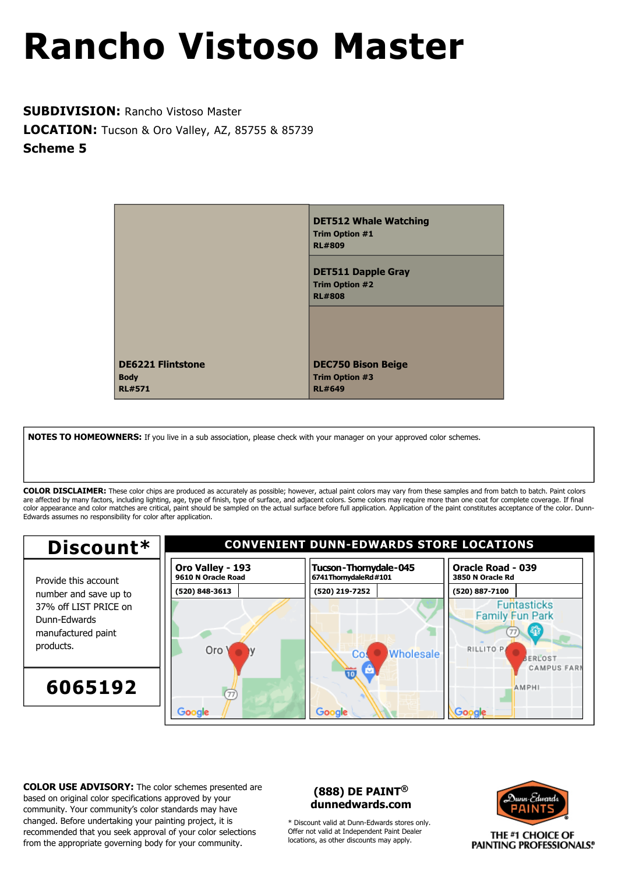**SUBDIVISION:** Rancho Vistoso Master **LOCATION:** Tucson & Oro Valley, AZ, 85755 & 85739 **Scheme 5**

|                                                          | <b>DET512 Whale Watching</b><br><b>Trim Option #1</b><br><b>RL#809</b> |
|----------------------------------------------------------|------------------------------------------------------------------------|
|                                                          | <b>DET511 Dapple Gray</b><br><b>Trim Option #2</b><br><b>RL#808</b>    |
|                                                          |                                                                        |
| <b>DE6221 Flintstone</b><br><b>Body</b><br><b>RL#571</b> | <b>DEC750 Bison Beige</b><br><b>Trim Option #3</b><br><b>RL#649</b>    |

**NOTES TO HOMEOWNERS:** If you live in a sub association, please check with your manager on your approved color schemes.

**COLOR DISCLAIMER:** These color chips are produced as accurately as possible; however, actual paint colors may vary from these samples and from batch to batch. Paint colors are affected by many factors, including lighting, age, type of finish, type of surface, and adjacent colors. Some colors may require more than one coat for complete coverage. If final color appearance and color matches are critical, paint should be sampled on the actual surface before full application. Application of the paint constitutes acceptance of the color. Dunn-Edwards assumes no responsibility for color after application.



**COLOR USE ADVISORY:** The color schemes presented are based on original color specifications approved by your community. Your community's color standards may have changed. Before undertaking your painting project, it is recommended that you seek approval of your color selections from the appropriate governing body for your community.

### **(888) DE PAINT® dunnedwards.com**

\* Discount valid at Dunn-Edwards stores only. Offer not valid at Independent Paint Dealer locations, as other discounts may apply.

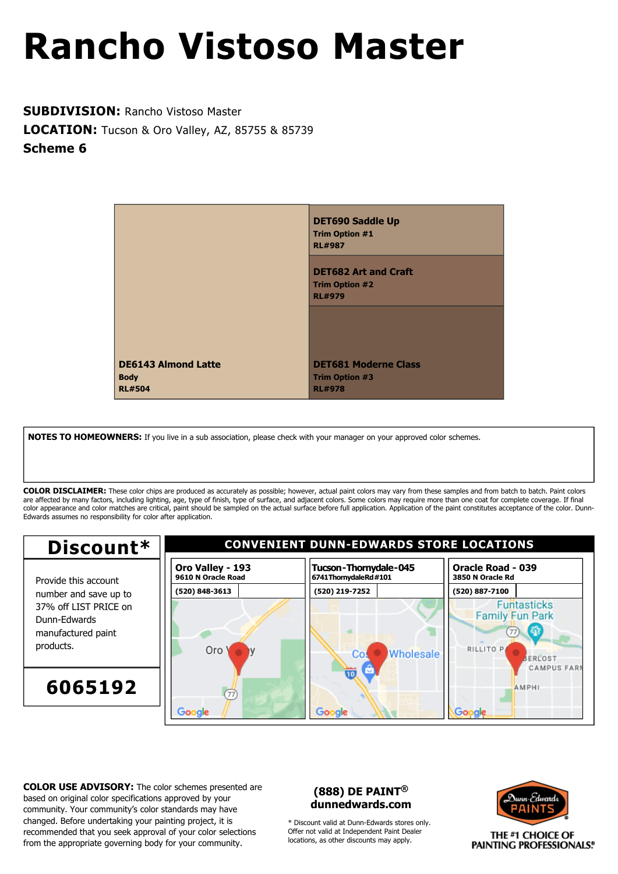**SUBDIVISION:** Rancho Vistoso Master **LOCATION:** Tucson & Oro Valley, AZ, 85755 & 85739 **Scheme 6**



**NOTES TO HOMEOWNERS:** If you live in a sub association, please check with your manager on your approved color schemes.

**COLOR DISCLAIMER:** These color chips are produced as accurately as possible; however, actual paint colors may vary from these samples and from batch to batch. Paint colors are affected by many factors, including lighting, age, type of finish, type of surface, and adjacent colors. Some colors may require more than one coat for complete coverage. If final color appearance and color matches are critical, paint should be sampled on the actual surface before full application. Application of the paint constitutes acceptance of the color. Dunn-Edwards assumes no responsibility for color after application.



**COLOR USE ADVISORY:** The color schemes presented are based on original color specifications approved by your community. Your community's color standards may have changed. Before undertaking your painting project, it is recommended that you seek approval of your color selections from the appropriate governing body for your community.

### **(888) DE PAINT® dunnedwards.com**

\* Discount valid at Dunn-Edwards stores only. Offer not valid at Independent Paint Dealer locations, as other discounts may apply.

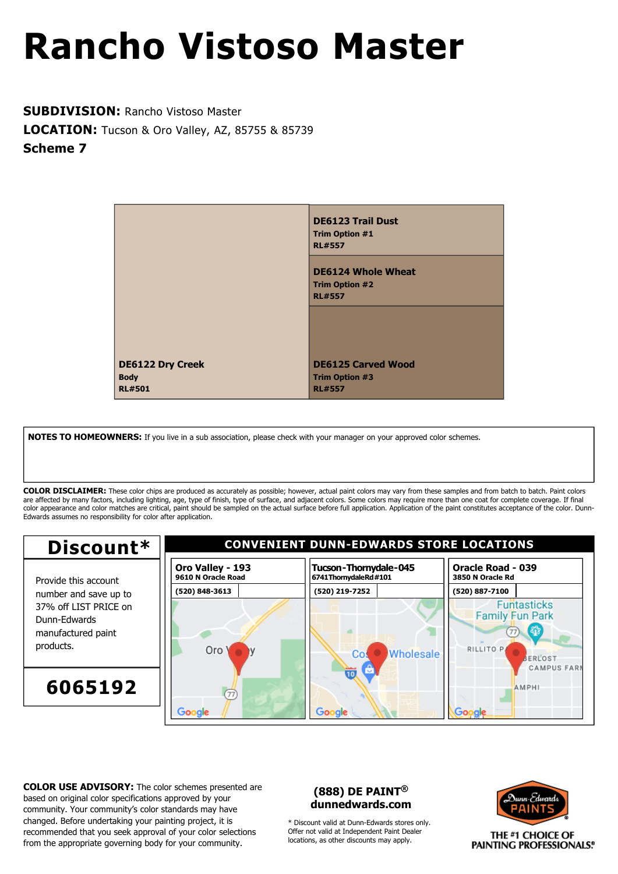**SUBDIVISION:** Rancho Vistoso Master **LOCATION:** Tucson & Oro Valley, AZ, 85755 & 85739 **Scheme 7**



**NOTES TO HOMEOWNERS:** If you live in a sub association, please check with your manager on your approved color schemes.

**COLOR DISCLAIMER:** These color chips are produced as accurately as possible; however, actual paint colors may vary from these samples and from batch to batch. Paint colors are affected by many factors, including lighting, age, type of finish, type of surface, and adjacent colors. Some colors may require more than one coat for complete coverage. If final color appearance and color matches are critical, paint should be sampled on the actual surface before full application. Application of the paint constitutes acceptance of the color. Dunn-Edwards assumes no responsibility for color after application.



**COLOR USE ADVISORY:** The color schemes presented are based on original color specifications approved by your community. Your community's color standards may have changed. Before undertaking your painting project, it is recommended that you seek approval of your color selections from the appropriate governing body for your community.

### **(888) DE PAINT® dunnedwards.com**

\* Discount valid at Dunn-Edwards stores only. Offer not valid at Independent Paint Dealer locations, as other discounts may apply.

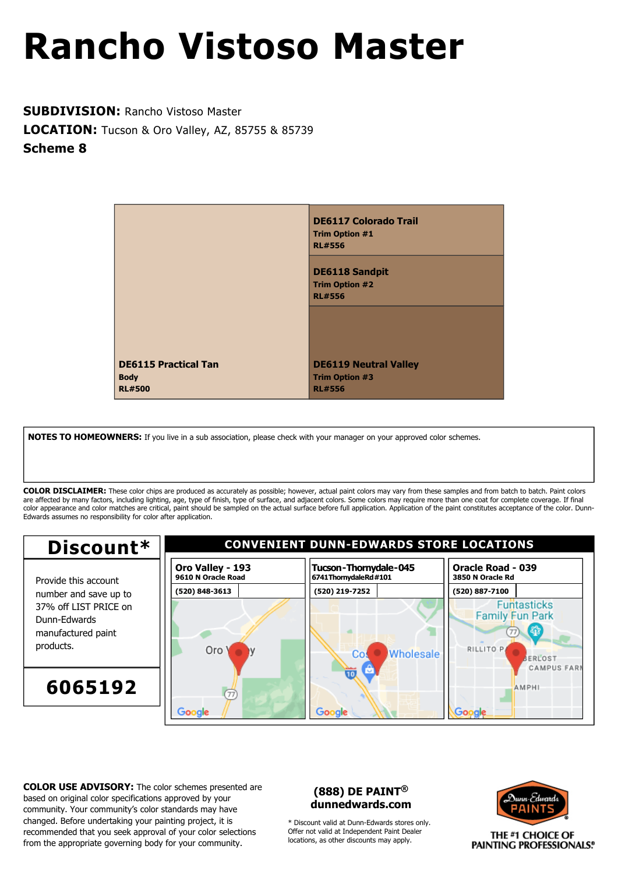**SUBDIVISION:** Rancho Vistoso Master **LOCATION:** Tucson & Oro Valley, AZ, 85755 & 85739 **Scheme 8**



**NOTES TO HOMEOWNERS:** If you live in a sub association, please check with your manager on your approved color schemes.

**COLOR DISCLAIMER:** These color chips are produced as accurately as possible; however, actual paint colors may vary from these samples and from batch to batch. Paint colors are affected by many factors, including lighting, age, type of finish, type of surface, and adjacent colors. Some colors may require more than one coat for complete coverage. If final color appearance and color matches are critical, paint should be sampled on the actual surface before full application. Application of the paint constitutes acceptance of the color. Dunn-Edwards assumes no responsibility for color after application.



**COLOR USE ADVISORY:** The color schemes presented are based on original color specifications approved by your community. Your community's color standards may have changed. Before undertaking your painting project, it is recommended that you seek approval of your color selections from the appropriate governing body for your community.

### **(888) DE PAINT® dunnedwards.com**

\* Discount valid at Dunn-Edwards stores only. Offer not valid at Independent Paint Dealer locations, as other discounts may apply.

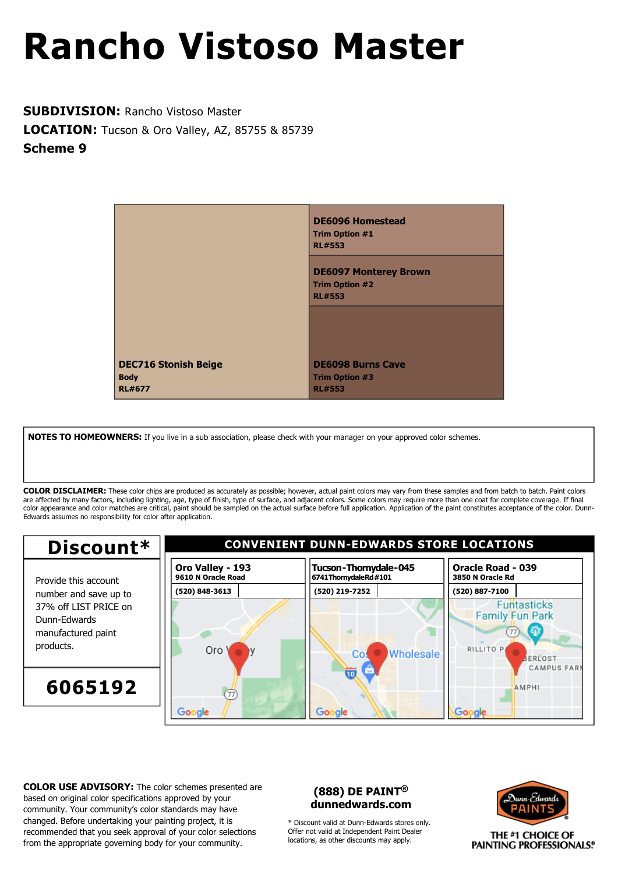**SUBDIVISION:** Rancho Vistoso Master **LOCATION:** Tucson & Oro Valley, AZ, 85755 & 85739 **Scheme 9**



**NOTES TO HOMEOWNERS:** If you live in a sub association, please check with your manager on your approved color schemes.

**COLOR DISCLAIMER:** These color chips are produced as accurately as possible; however, actual paint colors may vary from these samples and from batch to batch. Paint colors are affected by many factors, including lighting, age, type of finish, type of surface, and adjacent colors. Some colors may require more than one coat for complete coverage. If final color appearance and color matches are critical, paint should be sampled on the actual surface before full application. Application of the paint constitutes acceptance of the color. Dunn-Edwards assumes no responsibility for color after application.



**COLOR USE ADVISORY:** The color schemes presented are based on original color specifications approved by your community. Your community's color standards may have changed. Before undertaking your painting project, it is recommended that you seek approval of your color selections from the appropriate governing body for your community.

### **(888) DE PAINT® dunnedwards.com**

\* Discount valid at Dunn-Edwards stores only. Offer not valid at Independent Paint Dealer locations, as other discounts may apply.

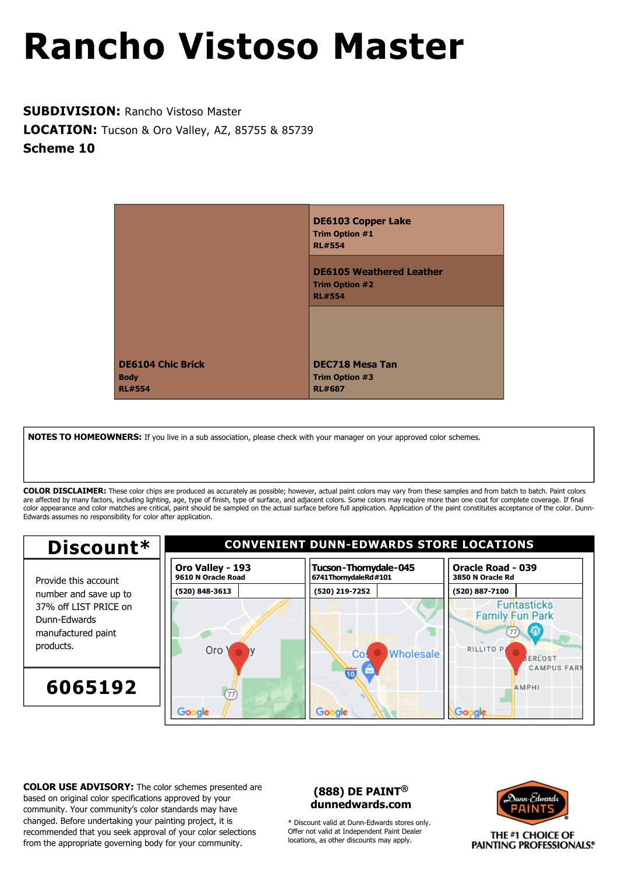**SUBDIVISION:** Rancho Vistoso Master **LOCATION:** Tucson & Oro Valley, AZ, 85755 & 85739 **Scheme 10**



**NOTES TO HOMEOWNERS:** If you live in a sub association, please check with your manager on your approved color schemes.

**COLOR DISCLAIMER:** These color chips are produced as accurately as possible; however, actual paint colors may vary from these samples and from batch to batch. Paint colors are affected by many factors, including lighting, age, type of finish, type of surface, and adjacent colors. Some colors may require more than one coat for complete coverage. If final color appearance and color matches are critical, paint should be sampled on the actual surface before full application. Application of the paint constitutes acceptance of the color. Dunn-Edwards assumes no responsibility for color after application.



**COLOR USE ADVISORY:** The color schemes presented are based on original color specifications approved by your community. Your community's color standards may have changed. Before undertaking your painting project, it is recommended that you seek approval of your color selections from the appropriate governing body for your community.

### **(888) DE PAINT® dunnedwards.com**

\* Discount valid at Dunn-Edwards stores only. Offer not valid at Independent Paint Dealer locations, as other discounts may apply.

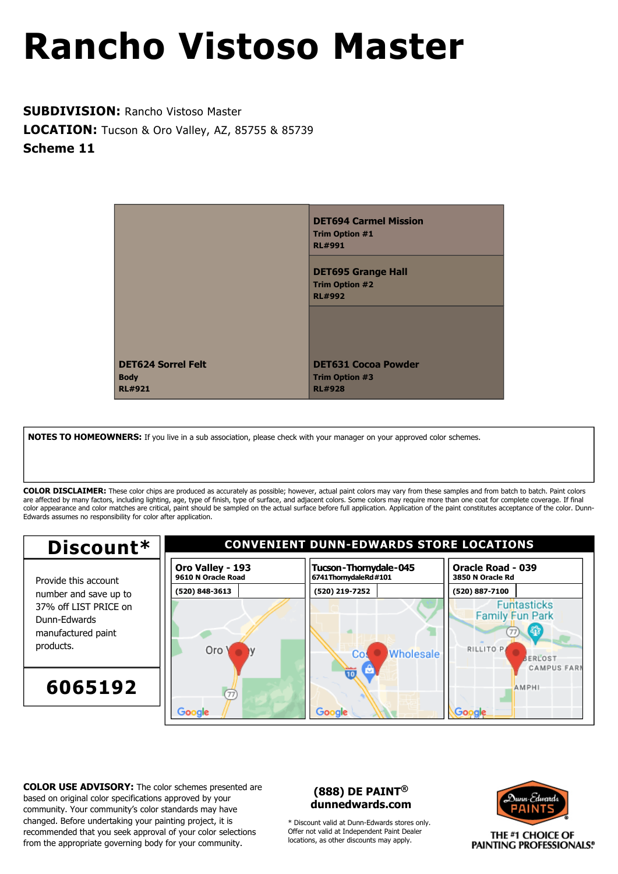**SUBDIVISION:** Rancho Vistoso Master **LOCATION:** Tucson & Oro Valley, AZ, 85755 & 85739 **Scheme 11**



**NOTES TO HOMEOWNERS:** If you live in a sub association, please check with your manager on your approved color schemes.

**COLOR DISCLAIMER:** These color chips are produced as accurately as possible; however, actual paint colors may vary from these samples and from batch to batch. Paint colors are affected by many factors, including lighting, age, type of finish, type of surface, and adjacent colors. Some colors may require more than one coat for complete coverage. If final color appearance and color matches are critical, paint should be sampled on the actual surface before full application. Application of the paint constitutes acceptance of the color. Dunn-Edwards assumes no responsibility for color after application.



**COLOR USE ADVISORY:** The color schemes presented are based on original color specifications approved by your community. Your community's color standards may have changed. Before undertaking your painting project, it is recommended that you seek approval of your color selections from the appropriate governing body for your community.

### **(888) DE PAINT® dunnedwards.com**

\* Discount valid at Dunn-Edwards stores only. Offer not valid at Independent Paint Dealer locations, as other discounts may apply.

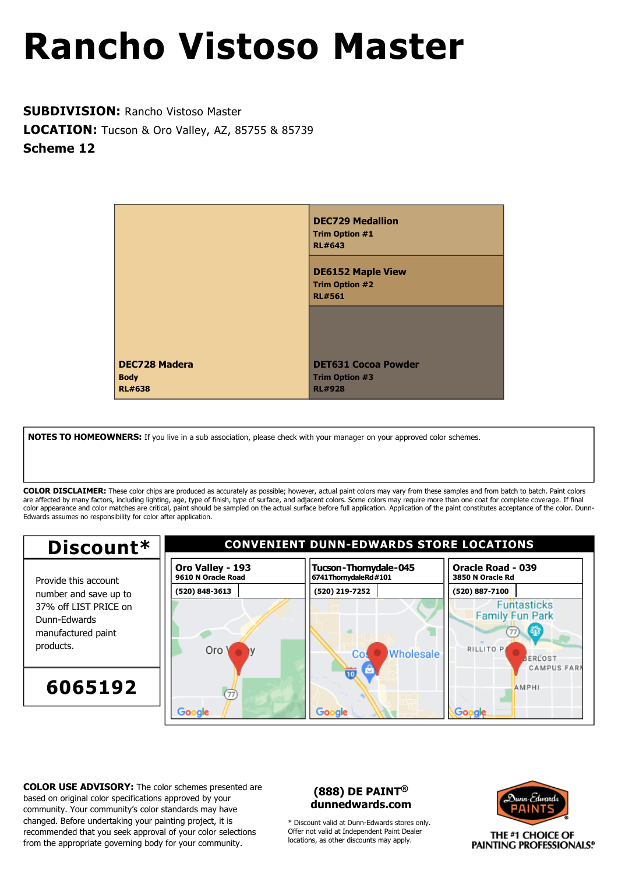**SUBDIVISION:** Rancho Vistoso Master **LOCATION:** Tucson & Oro Valley, AZ, 85755 & 85739 **Scheme 12**



**NOTES TO HOMEOWNERS:** If you live in a sub association, please check with your manager on your approved color schemes.

**COLOR DISCLAIMER:** These color chips are produced as accurately as possible; however, actual paint colors may vary from these samples and from batch to batch. Paint colors are affected by many factors, including lighting, age, type of finish, type of surface, and adjacent colors. Some colors may require more than one coat for complete coverage. If final color appearance and color matches are critical, paint should be sampled on the actual surface before full application. Application of the paint constitutes acceptance of the color. Dunn-Edwards assumes no responsibility for color after application.



**COLOR USE ADVISORY:** The color schemes presented are based on original color specifications approved by your community. Your community's color standards may have changed. Before undertaking your painting project, it is recommended that you seek approval of your color selections from the appropriate governing body for your community.

### **(888) DE PAINT® dunnedwards.com**

\* Discount valid at Dunn-Edwards stores only. Offer not valid at Independent Paint Dealer locations, as other discounts may apply.

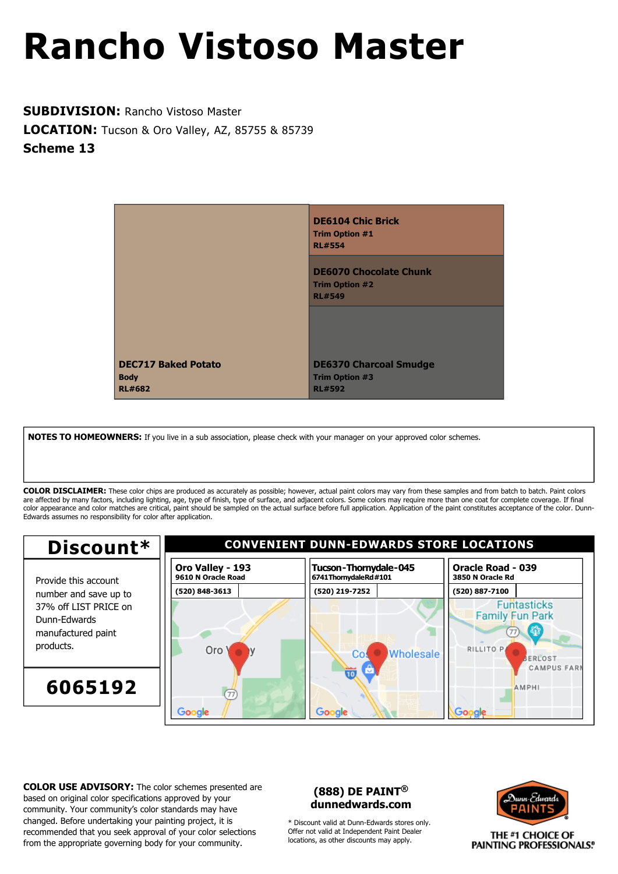**SUBDIVISION:** Rancho Vistoso Master **LOCATION:** Tucson & Oro Valley, AZ, 85755 & 85739 **Scheme 13**



**NOTES TO HOMEOWNERS:** If you live in a sub association, please check with your manager on your approved color schemes.

**COLOR DISCLAIMER:** These color chips are produced as accurately as possible; however, actual paint colors may vary from these samples and from batch to batch. Paint colors are affected by many factors, including lighting, age, type of finish, type of surface, and adjacent colors. Some colors may require more than one coat for complete coverage. If final color appearance and color matches are critical, paint should be sampled on the actual surface before full application. Application of the paint constitutes acceptance of the color. Dunn-Edwards assumes no responsibility for color after application.



**COLOR USE ADVISORY:** The color schemes presented are based on original color specifications approved by your community. Your community's color standards may have changed. Before undertaking your painting project, it is recommended that you seek approval of your color selections from the appropriate governing body for your community.

### **(888) DE PAINT® dunnedwards.com**

\* Discount valid at Dunn-Edwards stores only. Offer not valid at Independent Paint Dealer locations, as other discounts may apply.

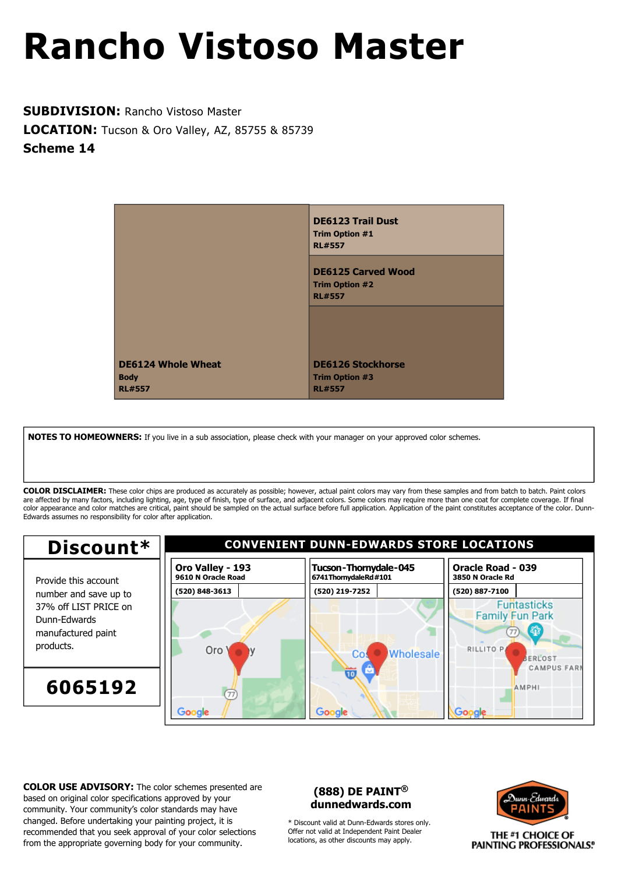**SUBDIVISION:** Rancho Vistoso Master **LOCATION:** Tucson & Oro Valley, AZ, 85755 & 85739 **Scheme 14**



**NOTES TO HOMEOWNERS:** If you live in a sub association, please check with your manager on your approved color schemes.

**COLOR DISCLAIMER:** These color chips are produced as accurately as possible; however, actual paint colors may vary from these samples and from batch to batch. Paint colors are affected by many factors, including lighting, age, type of finish, type of surface, and adjacent colors. Some colors may require more than one coat for complete coverage. If final color appearance and color matches are critical, paint should be sampled on the actual surface before full application. Application of the paint constitutes acceptance of the color. Dunn-Edwards assumes no responsibility for color after application.



**COLOR USE ADVISORY:** The color schemes presented are based on original color specifications approved by your community. Your community's color standards may have changed. Before undertaking your painting project, it is recommended that you seek approval of your color selections from the appropriate governing body for your community.

### **(888) DE PAINT® dunnedwards.com**

\* Discount valid at Dunn-Edwards stores only. Offer not valid at Independent Paint Dealer locations, as other discounts may apply.

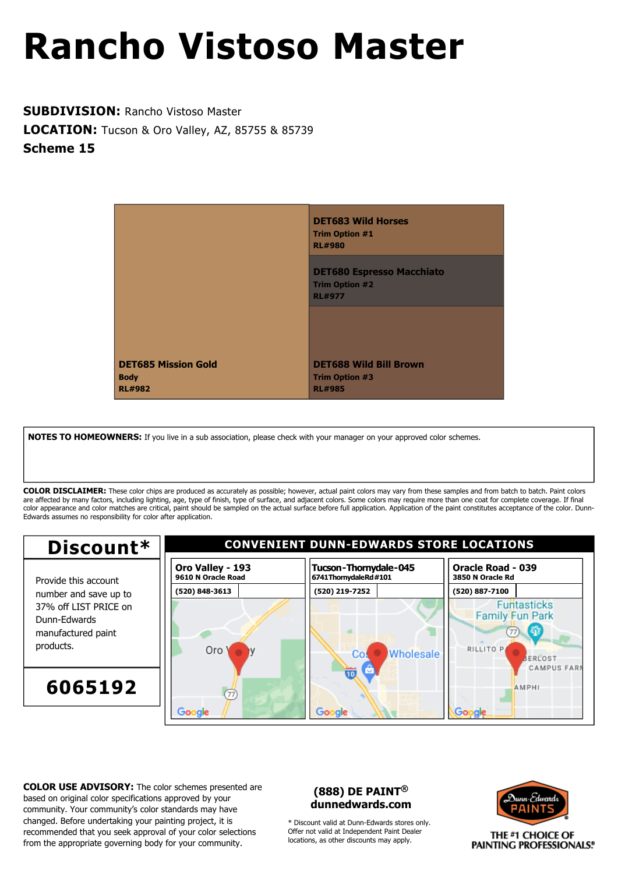**SUBDIVISION:** Rancho Vistoso Master **LOCATION:** Tucson & Oro Valley, AZ, 85755 & 85739 **Scheme 15**



**NOTES TO HOMEOWNERS:** If you live in a sub association, please check with your manager on your approved color schemes.

**COLOR DISCLAIMER:** These color chips are produced as accurately as possible; however, actual paint colors may vary from these samples and from batch to batch. Paint colors are affected by many factors, including lighting, age, type of finish, type of surface, and adjacent colors. Some colors may require more than one coat for complete coverage. If final color appearance and color matches are critical, paint should be sampled on the actual surface before full application. Application of the paint constitutes acceptance of the color. Dunn-Edwards assumes no responsibility for color after application.



**COLOR USE ADVISORY:** The color schemes presented are based on original color specifications approved by your community. Your community's color standards may have changed. Before undertaking your painting project, it is recommended that you seek approval of your color selections from the appropriate governing body for your community.

### **(888) DE PAINT® dunnedwards.com**

\* Discount valid at Dunn-Edwards stores only. Offer not valid at Independent Paint Dealer locations, as other discounts may apply.

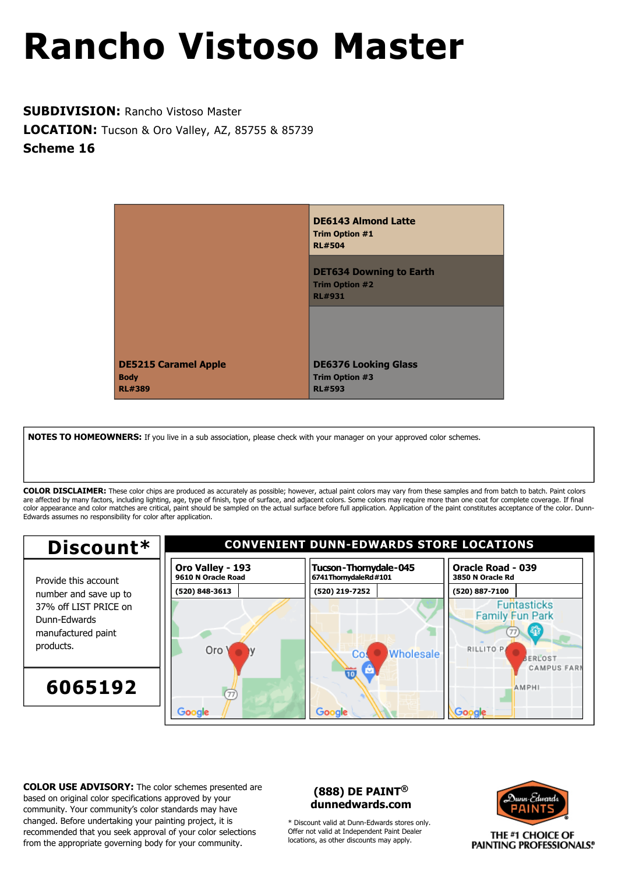**SUBDIVISION:** Rancho Vistoso Master **LOCATION:** Tucson & Oro Valley, AZ, 85755 & 85739 **Scheme 16**



**NOTES TO HOMEOWNERS:** If you live in a sub association, please check with your manager on your approved color schemes.

**COLOR DISCLAIMER:** These color chips are produced as accurately as possible; however, actual paint colors may vary from these samples and from batch to batch. Paint colors are affected by many factors, including lighting, age, type of finish, type of surface, and adjacent colors. Some colors may require more than one coat for complete coverage. If final color appearance and color matches are critical, paint should be sampled on the actual surface before full application. Application of the paint constitutes acceptance of the color. Dunn-Edwards assumes no responsibility for color after application.



**COLOR USE ADVISORY:** The color schemes presented are based on original color specifications approved by your community. Your community's color standards may have changed. Before undertaking your painting project, it is recommended that you seek approval of your color selections from the appropriate governing body for your community.

### **(888) DE PAINT® dunnedwards.com**

\* Discount valid at Dunn-Edwards stores only. Offer not valid at Independent Paint Dealer locations, as other discounts may apply.

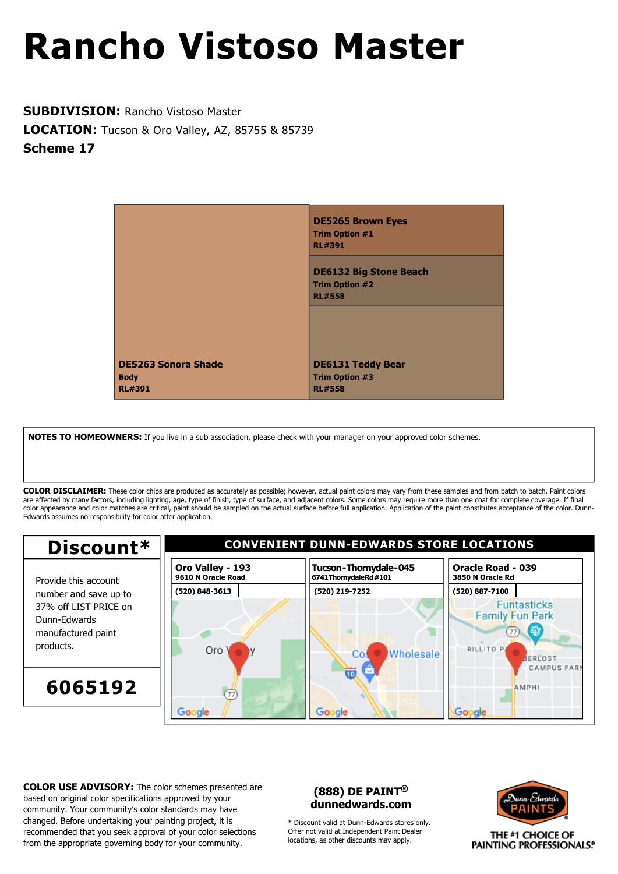**SUBDIVISION:** Rancho Vistoso Master **LOCATION:** Tucson & Oro Valley, AZ, 85755 & 85739 **Scheme 17**



**NOTES TO HOMEOWNERS:** If you live in a sub association, please check with your manager on your approved color schemes.

**COLOR DISCLAIMER:** These color chips are produced as accurately as possible; however, actual paint colors may vary from these samples and from batch to batch. Paint colors are affected by many factors, including lighting, age, type of finish, type of surface, and adjacent colors. Some colors may require more than one coat for complete coverage. If final color appearance and color matches are critical, paint should be sampled on the actual surface before full application. Application of the paint constitutes acceptance of the color. Dunn-Edwards assumes no responsibility for color after application.



**COLOR USE ADVISORY:** The color schemes presented are based on original color specifications approved by your community. Your community's color standards may have changed. Before undertaking your painting project, it is recommended that you seek approval of your color selections from the appropriate governing body for your community.

### **(888) DE PAINT® dunnedwards.com**

\* Discount valid at Dunn-Edwards stores only. Offer not valid at Independent Paint Dealer locations, as other discounts may apply.

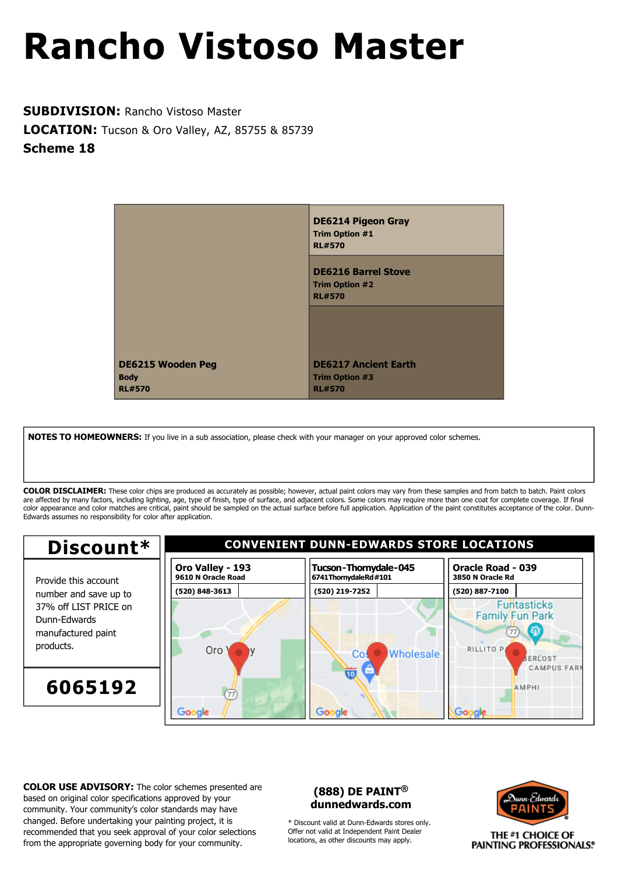**SUBDIVISION:** Rancho Vistoso Master **LOCATION:** Tucson & Oro Valley, AZ, 85755 & 85739 **Scheme 18**



**NOTES TO HOMEOWNERS:** If you live in a sub association, please check with your manager on your approved color schemes.

**COLOR DISCLAIMER:** These color chips are produced as accurately as possible; however, actual paint colors may vary from these samples and from batch to batch. Paint colors are affected by many factors, including lighting, age, type of finish, type of surface, and adjacent colors. Some colors may require more than one coat for complete coverage. If final color appearance and color matches are critical, paint should be sampled on the actual surface before full application. Application of the paint constitutes acceptance of the color. Dunn-Edwards assumes no responsibility for color after application.



**COLOR USE ADVISORY:** The color schemes presented are based on original color specifications approved by your community. Your community's color standards may have changed. Before undertaking your painting project, it is recommended that you seek approval of your color selections from the appropriate governing body for your community.

### **(888) DE PAINT® dunnedwards.com**

\* Discount valid at Dunn-Edwards stores only. Offer not valid at Independent Paint Dealer locations, as other discounts may apply.

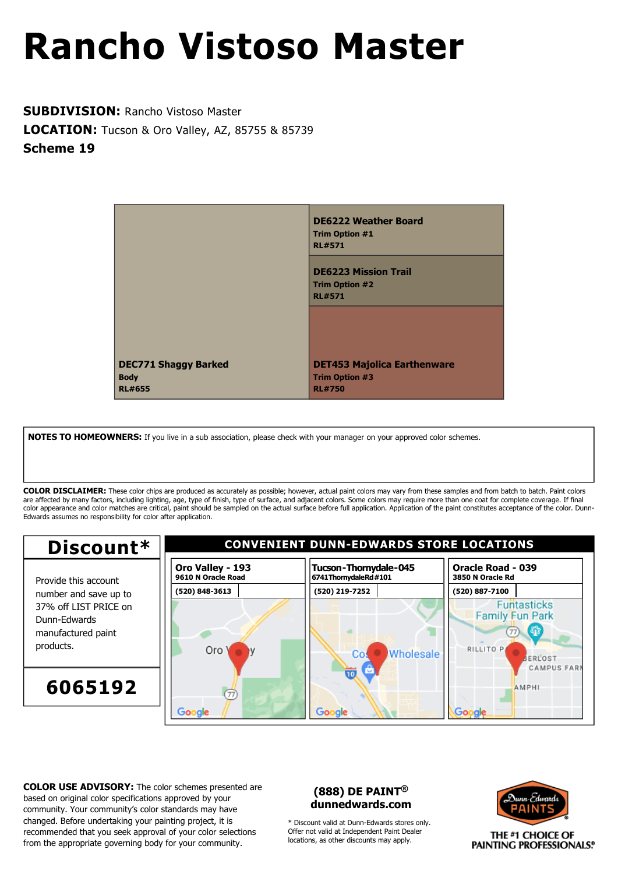**SUBDIVISION:** Rancho Vistoso Master **LOCATION:** Tucson & Oro Valley, AZ, 85755 & 85739 **Scheme 19**



**NOTES TO HOMEOWNERS:** If you live in a sub association, please check with your manager on your approved color schemes.

**COLOR DISCLAIMER:** These color chips are produced as accurately as possible; however, actual paint colors may vary from these samples and from batch to batch. Paint colors are affected by many factors, including lighting, age, type of finish, type of surface, and adjacent colors. Some colors may require more than one coat for complete coverage. If final color appearance and color matches are critical, paint should be sampled on the actual surface before full application. Application of the paint constitutes acceptance of the color. Dunn-Edwards assumes no responsibility for color after application.



**COLOR USE ADVISORY:** The color schemes presented are based on original color specifications approved by your community. Your community's color standards may have changed. Before undertaking your painting project, it is recommended that you seek approval of your color selections from the appropriate governing body for your community.

### **(888) DE PAINT® dunnedwards.com**

\* Discount valid at Dunn-Edwards stores only. Offer not valid at Independent Paint Dealer locations, as other discounts may apply.

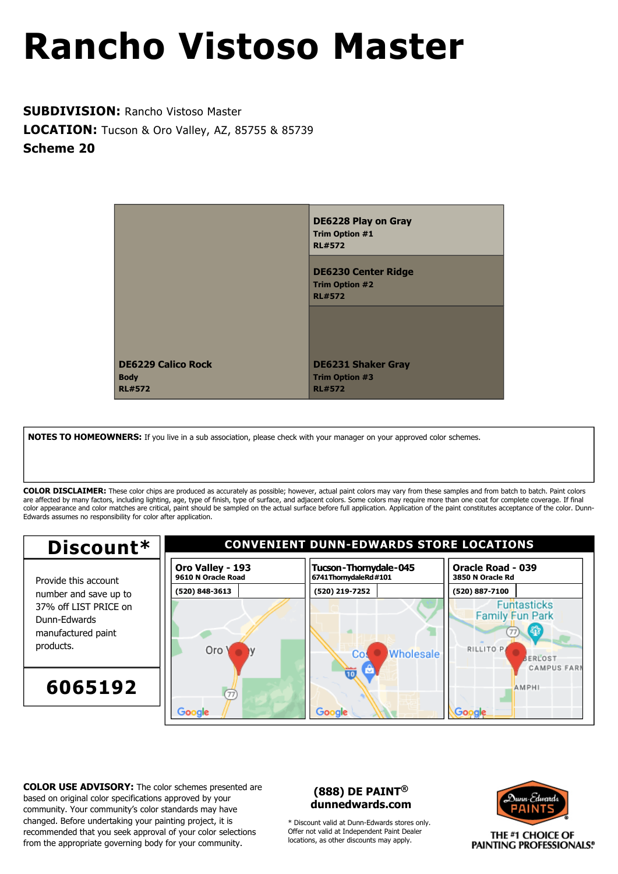**SUBDIVISION:** Rancho Vistoso Master **LOCATION:** Tucson & Oro Valley, AZ, 85755 & 85739 **Scheme 20**



**NOTES TO HOMEOWNERS:** If you live in a sub association, please check with your manager on your approved color schemes.

**COLOR DISCLAIMER:** These color chips are produced as accurately as possible; however, actual paint colors may vary from these samples and from batch to batch. Paint colors are affected by many factors, including lighting, age, type of finish, type of surface, and adjacent colors. Some colors may require more than one coat for complete coverage. If final color appearance and color matches are critical, paint should be sampled on the actual surface before full application. Application of the paint constitutes acceptance of the color. Dunn-Edwards assumes no responsibility for color after application.



**COLOR USE ADVISORY:** The color schemes presented are based on original color specifications approved by your community. Your community's color standards may have changed. Before undertaking your painting project, it is recommended that you seek approval of your color selections from the appropriate governing body for your community.

### **(888) DE PAINT® dunnedwards.com**

\* Discount valid at Dunn-Edwards stores only. Offer not valid at Independent Paint Dealer locations, as other discounts may apply.

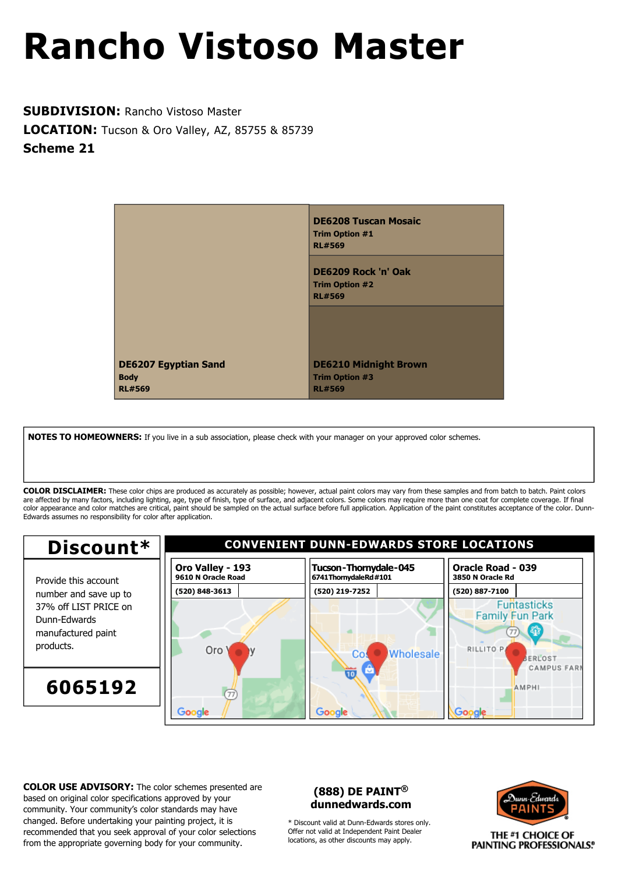**SUBDIVISION:** Rancho Vistoso Master **LOCATION:** Tucson & Oro Valley, AZ, 85755 & 85739 **Scheme 21**



**NOTES TO HOMEOWNERS:** If you live in a sub association, please check with your manager on your approved color schemes.

**COLOR DISCLAIMER:** These color chips are produced as accurately as possible; however, actual paint colors may vary from these samples and from batch to batch. Paint colors are affected by many factors, including lighting, age, type of finish, type of surface, and adjacent colors. Some colors may require more than one coat for complete coverage. If final color appearance and color matches are critical, paint should be sampled on the actual surface before full application. Application of the paint constitutes acceptance of the color. Dunn-Edwards assumes no responsibility for color after application.



**COLOR USE ADVISORY:** The color schemes presented are based on original color specifications approved by your community. Your community's color standards may have changed. Before undertaking your painting project, it is recommended that you seek approval of your color selections from the appropriate governing body for your community.

### **(888) DE PAINT® dunnedwards.com**

\* Discount valid at Dunn-Edwards stores only. Offer not valid at Independent Paint Dealer locations, as other discounts may apply.

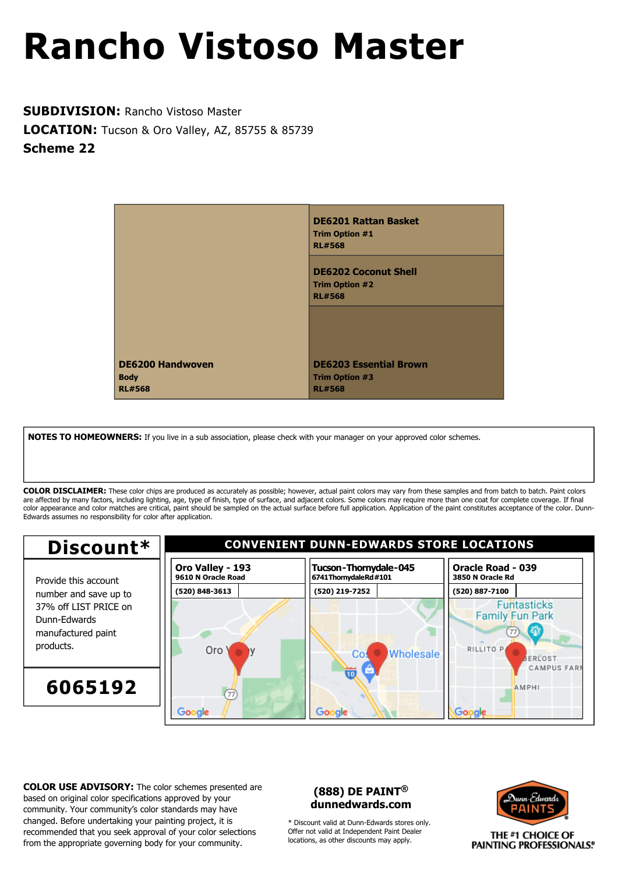**SUBDIVISION:** Rancho Vistoso Master **LOCATION:** Tucson & Oro Valley, AZ, 85755 & 85739 **Scheme 22**



**NOTES TO HOMEOWNERS:** If you live in a sub association, please check with your manager on your approved color schemes.

**COLOR DISCLAIMER:** These color chips are produced as accurately as possible; however, actual paint colors may vary from these samples and from batch to batch. Paint colors are affected by many factors, including lighting, age, type of finish, type of surface, and adjacent colors. Some colors may require more than one coat for complete coverage. If final color appearance and color matches are critical, paint should be sampled on the actual surface before full application. Application of the paint constitutes acceptance of the color. Dunn-Edwards assumes no responsibility for color after application.



**COLOR USE ADVISORY:** The color schemes presented are based on original color specifications approved by your community. Your community's color standards may have changed. Before undertaking your painting project, it is recommended that you seek approval of your color selections from the appropriate governing body for your community.

### **(888) DE PAINT® dunnedwards.com**

\* Discount valid at Dunn-Edwards stores only. Offer not valid at Independent Paint Dealer locations, as other discounts may apply.

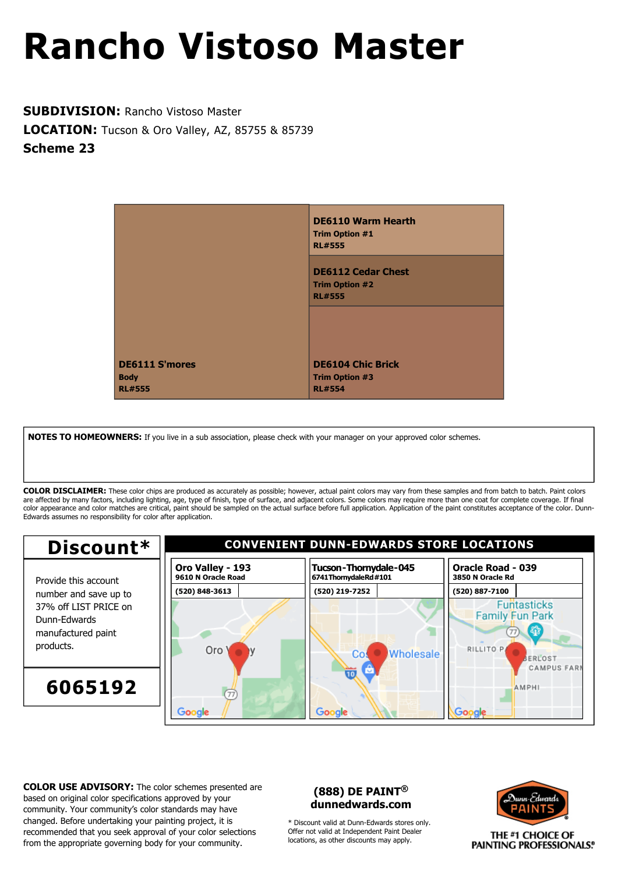**SUBDIVISION:** Rancho Vistoso Master **LOCATION:** Tucson & Oro Valley, AZ, 85755 & 85739 **Scheme 23**



**NOTES TO HOMEOWNERS:** If you live in a sub association, please check with your manager on your approved color schemes.

**COLOR DISCLAIMER:** These color chips are produced as accurately as possible; however, actual paint colors may vary from these samples and from batch to batch. Paint colors are affected by many factors, including lighting, age, type of finish, type of surface, and adjacent colors. Some colors may require more than one coat for complete coverage. If final color appearance and color matches are critical, paint should be sampled on the actual surface before full application. Application of the paint constitutes acceptance of the color. Dunn-Edwards assumes no responsibility for color after application.



**COLOR USE ADVISORY:** The color schemes presented are based on original color specifications approved by your community. Your community's color standards may have changed. Before undertaking your painting project, it is recommended that you seek approval of your color selections from the appropriate governing body for your community.

### **(888) DE PAINT® dunnedwards.com**

\* Discount valid at Dunn-Edwards stores only. Offer not valid at Independent Paint Dealer locations, as other discounts may apply.